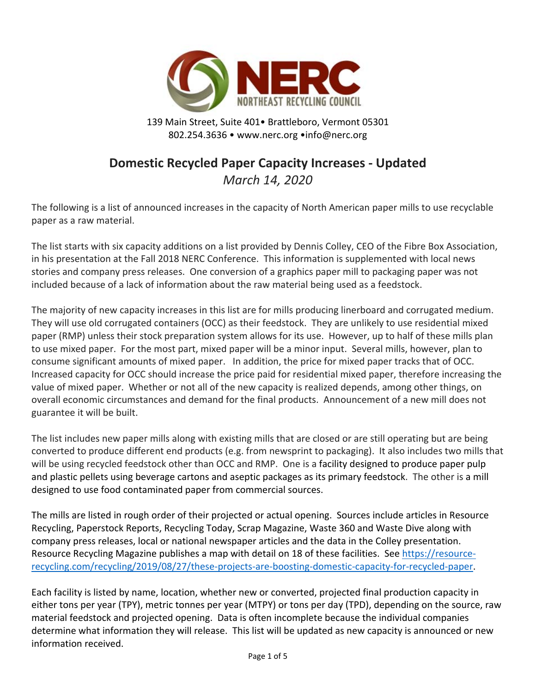

139 Main Street, Suite 401• Brattleboro, Vermont 05301 802.254.3636 • www.nerc.org •info@nerc.org

# **Domestic Recycled Paper Capacity Increases ‐ Updated**

*March 14, 2020* 

The following is a list of announced increases in the capacity of North American paper mills to use recyclable paper as a raw material.

The list starts with six capacity additions on a list provided by Dennis Colley, CEO of the Fibre Box Association, in his presentation at the Fall 2018 NERC Conference. This information is supplemented with local news stories and company press releases. One conversion of a graphics paper mill to packaging paper was not included because of a lack of information about the raw material being used as a feedstock.

The majority of new capacity increases in this list are for mills producing linerboard and corrugated medium. They will use old corrugated containers (OCC) as their feedstock. They are unlikely to use residential mixed paper (RMP) unless their stock preparation system allows for its use. However, up to half of these mills plan to use mixed paper. For the most part, mixed paper will be a minor input. Several mills, however, plan to consume significant amounts of mixed paper. In addition, the price for mixed paper tracks that of OCC. Increased capacity for OCC should increase the price paid for residential mixed paper, therefore increasing the value of mixed paper. Whether or not all of the new capacity is realized depends, among other things, on overall economic circumstances and demand for the final products. Announcement of a new mill does not guarantee it will be built.

The list includes new paper mills along with existing mills that are closed or are still operating but are being converted to produce different end products (e.g. from newsprint to packaging). It also includes two mills that will be using recycled feedstock other than OCC and RMP. One is a facility designed to produce paper pulp and plastic pellets using beverage cartons and aseptic packages as its primary feedstock. The other is a mill designed to use food contaminated paper from commercial sources.

The mills are listed in rough order of their projected or actual opening. Sources include articles in Resource Recycling, Paperstock Reports, Recycling Today, Scrap Magazine, Waste 360 and Waste Dive along with company press releases, local or national newspaper articles and the data in the Colley presentation. Resource Recycling Magazine publishes a map with detail on 18 of these facilities. See https://resourcerecycling.com/recycling/2019/08/27/these‐projects‐are‐boosting‐domestic‐capacity‐for‐recycled‐paper.

Each facility is listed by name, location, whether new or converted, projected final production capacity in either tons per year (TPY), metric tonnes per year (MTPY) or tons per day (TPD), depending on the source, raw material feedstock and projected opening. Data is often incomplete because the individual companies determine what information they will release. This list will be updated as new capacity is announced or new information received.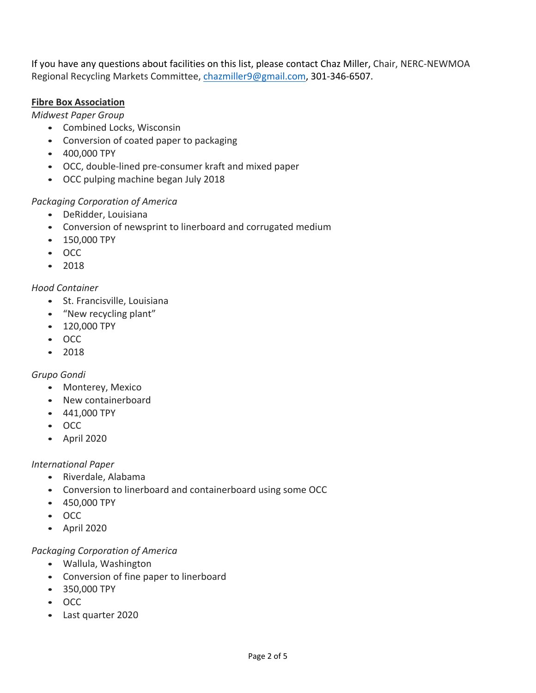If you have any questions about facilities on this list, please contact Chaz Miller, Chair, NERC‐NEWMOA Regional Recycling Markets Committee, chazmiller9@gmail.com, 301-346-6507.

## **Fibre Box Association**

*Midwest Paper Group* 

- Combined Locks, Wisconsin
- Conversion of coated paper to packaging
- 400,000 TPY
- OCC, double‐lined pre‐consumer kraft and mixed paper
- OCC pulping machine began July 2018

## *Packaging Corporation of America*

- DeRidder, Louisiana
- Conversion of newsprint to linerboard and corrugated medium
- 150,000 TPY
- OCC
- 2018

## *Hood Container*

- St. Francisville, Louisiana
- "New recycling plant"
- 120,000 TPY
- OCC
- 2018

# *Grupo Gondi*

- Monterey, Mexico
- New containerboard
- 441,000 TPY
- OCC
- April 2020

## *International Paper*

- Riverdale, Alabama
- Conversion to linerboard and containerboard using some OCC
- 450,000 TPY
- OCC
- April 2020

# *Packaging Corporation of America*

- Wallula, Washington
- Conversion of fine paper to linerboard
- 350,000 TPY
- OCC
- Last quarter 2020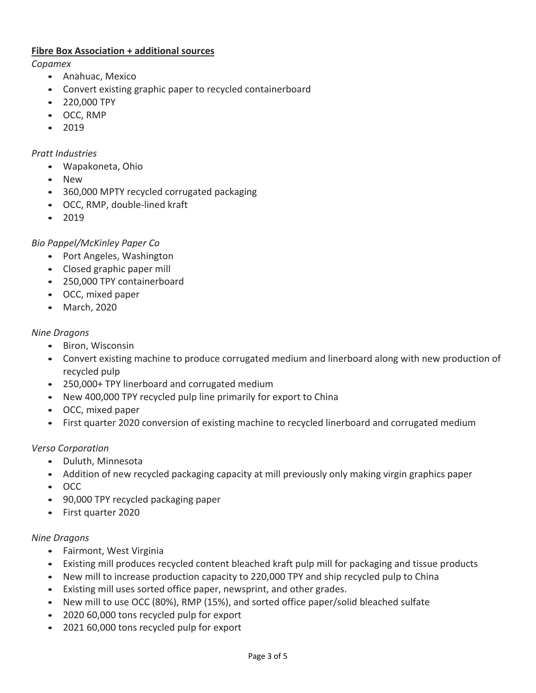#### **Fibre Box Association + additional sources**

*Copamex* 

- Anahuac, Mexico
- Convert existing graphic paper to recycled containerboard
- 220,000 TPY
- OCC, RMP
- 2019

#### *Pratt Industries*

- Wapakoneta, Ohio
- New
- 360,000 MPTY recycled corrugated packaging
- OCC, RMP, double-lined kraft
- 2019

## *Bio Pappel/McKinley Paper Co*

- Port Angeles, Washington
- Closed graphic paper mill
- 250,000 TPY containerboard
- OCC, mixed paper
- March, 2020

#### *Nine Dragons*

- Biron, Wisconsin
- Convert existing machine to produce corrugated medium and linerboard along with new production of recycled pulp
- 250,000+ TPY linerboard and corrugated medium
- New 400,000 TPY recycled pulp line primarily for export to China
- OCC, mixed paper
- First quarter 2020 conversion of existing machine to recycled linerboard and corrugated medium

#### *Verso Corporation*

- Duluth, Minnesota
- Addition of new recycled packaging capacity at mill previously only making virgin graphics paper
- OCC
- 90,000 TPY recycled packaging paper
- First quarter 2020

#### *Nine Dragons*

- Fairmont, West Virginia
- Existing mill produces recycled content bleached kraft pulp mill for packaging and tissue products
- New mill to increase production capacity to 220,000 TPY and ship recycled pulp to China
- Existing mill uses sorted office paper, newsprint, and other grades.
- New mill to use OCC (80%), RMP (15%), and sorted office paper/solid bleached sulfate
- 2020 60,000 tons recycled pulp for export
- 2021 60,000 tons recycled pulp for export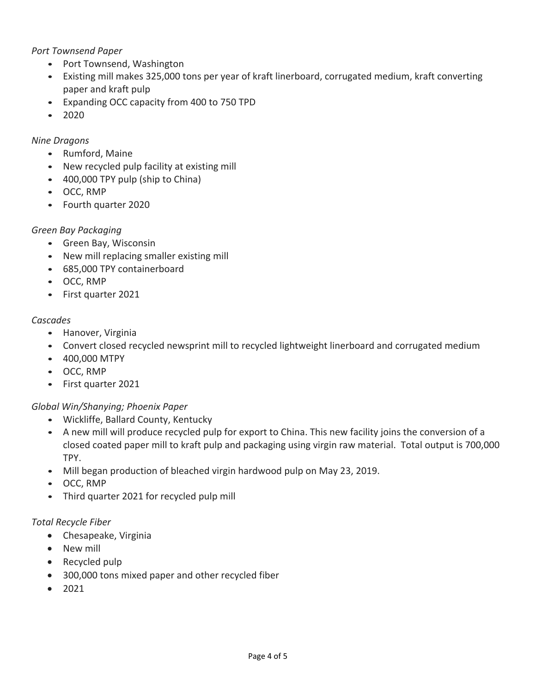#### *Port Townsend Paper*

- Port Townsend, Washington
- Existing mill makes 325,000 tons per year of kraft linerboard, corrugated medium, kraft converting paper and kraft pulp
- Expanding OCC capacity from 400 to 750 TPD
- 2020

## *Nine Dragons*

- Rumford, Maine
- New recycled pulp facility at existing mill
- 400,000 TPY pulp (ship to China)
- OCC, RMP
- Fourth quarter 2020

#### *Green Bay Packaging*

- Green Bay, Wisconsin
- New mill replacing smaller existing mill
- 685,000 TPY containerboard
- OCC, RMP
- First quarter 2021

#### *Cascades*

- Hanover, Virginia
- Convert closed recycled newsprint mill to recycled lightweight linerboard and corrugated medium
- 400,000 MTPY
- OCC, RMP
- First quarter 2021

## *Global Win/Shanying; Phoenix Paper*

- Wickliffe, Ballard County, Kentucky
- A new mill will produce recycled pulp for export to China. This new facility joins the conversion of a closed coated paper mill to kraft pulp and packaging using virgin raw material. Total output is 700,000 TPY.
- Mill began production of bleached virgin hardwood pulp on May 23, 2019.
- OCC, RMP
- Third quarter 2021 for recycled pulp mill

## *Total Recycle Fiber*

- Chesapeake, Virginia
- New mill
- Recycled pulp
- 300,000 tons mixed paper and other recycled fiber
- $2021$